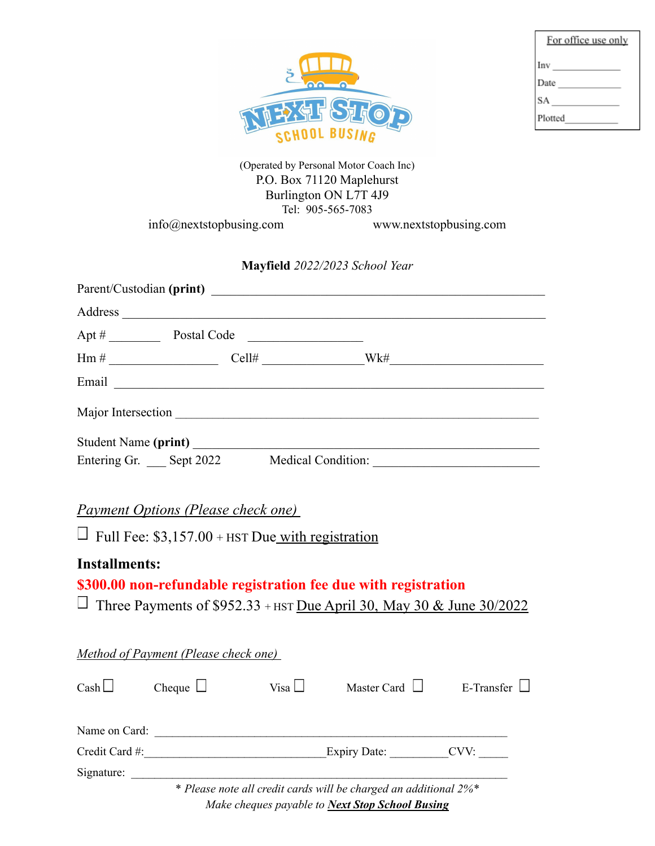| <b>*中日2140</b><br><b>BUSIN</b> |
|--------------------------------|

| For office use only |
|---------------------|
| Inv                 |
| Date                |
| SA                  |
| Plotted             |

(Operated by Personal Motor Coach Inc) P.O. Box 71120 Maplehurst Burlington ON L7T 4J9 Tel: 905-565-7083 info@nextstopbusing.com www.nextstopbusing.com

## **Mayfield** *2022/2023 School Year*

|         |                        | Parent/Custodian (print)                                                                                                                                                                                                             |     |  |
|---------|------------------------|--------------------------------------------------------------------------------------------------------------------------------------------------------------------------------------------------------------------------------------|-----|--|
| Address |                        |                                                                                                                                                                                                                                      |     |  |
|         | Apt # Postal Code      | <u> 1980 - Andrea Station Books, amerikansk politik (d. 1980)</u>                                                                                                                                                                    |     |  |
|         |                        |                                                                                                                                                                                                                                      | Wk# |  |
|         |                        | Email <u>contract the contract of the contract of the contract of the contract of the contract of the contract of the contract of the contract of the contract of the contract of the contract of the contract of the contract o</u> |     |  |
|         |                        | Major Intersection                                                                                                                                                                                                                   |     |  |
|         |                        | Student Name (print)                                                                                                                                                                                                                 |     |  |
|         | Entering Gr. Sept 2022 | <b>Medical Condition:</b>                                                                                                                                                                                                            |     |  |

*Payment Options (Please check one)*

 $\Box$  Full Fee: \$3,157.00 + HST Due with registration

## **Installments:**

# **\$300.00 non-refundable registration fee due with registration**

 $\Box$  Three Payments of \$952.33 + HST Due April 30, May 30 & June 30/2022

|                | <b>Method of Payment (Please check one)</b> |             |                                                                  |            |
|----------------|---------------------------------------------|-------------|------------------------------------------------------------------|------------|
| $\cosh \Box$   | Cheque $\Box$                               | Visa $\Box$ | Master Card $\Box$                                               | E-Transfer |
| Name on Card:  |                                             |             |                                                                  |            |
| Credit Card #: |                                             |             | Expiry Date:                                                     | CVV:       |
| Signature:     |                                             |             |                                                                  |            |
|                |                                             |             | * Please note all credit cards will be charged an additional 2%* |            |

*Make cheques payable to Next Stop School Busing*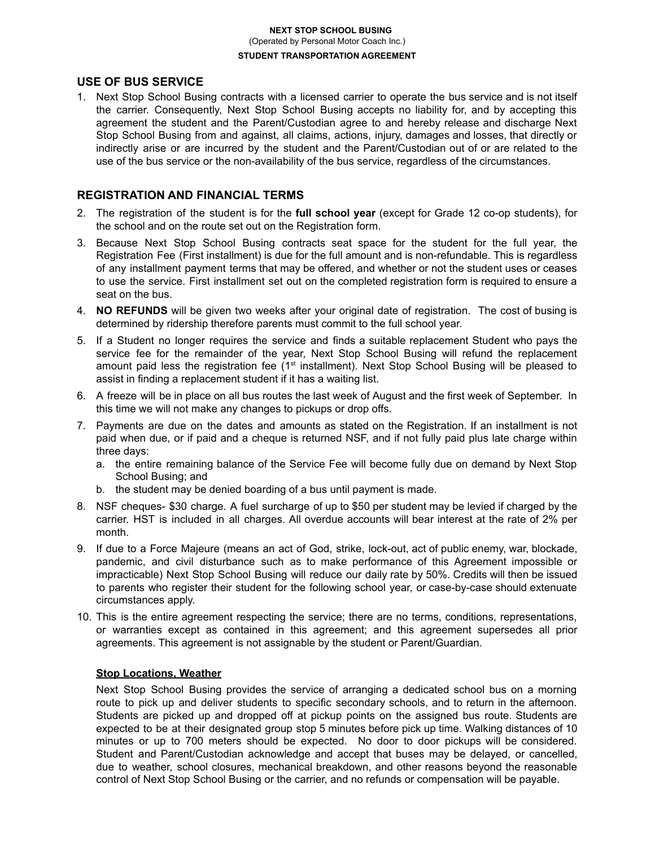#### **NEXT STOP SCHOOL BUSING** (Operated by Personal Motor Coach Inc.) **STUDENT TRANSPORTATION AGREEMENT**

#### **USE OF BUS SERVICE**

1. Next Stop School Busing contracts with a licensed carrier to operate the bus service and is not itself the carrier. Consequently, Next Stop School Busing accepts no liability for, and by accepting this agreement the student and the Parent/Custodian agree to and hereby release and discharge Next Stop School Busing from and against, all claims, actions, injury, damages and losses, that directly or indirectly arise or are incurred by the student and the Parent/Custodian out of or are related to the use of the bus service or the non-availability of the bus service, regardless of the circumstances.

#### **REGISTRATION AND FINANCIAL TERMS**

- 2. The registration of the student is for the **full school year** (except for Grade 12 co-op students), for the school and on the route set out on the Registration form.
- 3. Because Next Stop School Busing contracts seat space for the student for the full year, the Registration Fee (First installment) is due for the full amount and is non-refundable. This is regardless of any installment payment terms that may be offered, and whether or not the student uses or ceases to use the service. First installment set out on the completed registration form is required to ensure a seat on the bus.
- 4. **NO REFUNDS** will be given two weeks after your original date of registration. The cost of busing is determined by ridership therefore parents must commit to the full school year.
- 5. If a Student no longer requires the service and finds a suitable replacement Student who pays the service fee for the remainder of the year, Next Stop School Busing will refund the replacement amount paid less the registration fee (1<sup>st</sup> installment). Next Stop School Busing will be pleased to assist in finding a replacement student if it has a waiting list.
- 6. A freeze will be in place on all bus routes the last week of August and the first week of September. In this time we will not make any changes to pickups or drop offs.
- 7. Payments are due on the dates and amounts as stated on the Registration. If an installment is not paid when due, or if paid and a cheque is returned NSF, and if not fully paid plus late charge within three days:
	- a. the entire remaining balance of the Service Fee will become fully due on demand by Next Stop School Busing; and
	- b. the student may be denied boarding of a bus until payment is made.
- 8. NSF cheques- \$30 charge. A fuel surcharge of up to \$50 per student may be levied if charged by the carrier. HST is included in all charges. All overdue accounts will bear interest at the rate of 2% per month.
- 9. If due to a Force Majeure (means an act of God, strike, lock-out, act of public enemy, war, blockade, pandemic, and civil disturbance such as to make performance of this Agreement impossible or impracticable) Next Stop School Busing will reduce our daily rate by 50%. Credits will then be issued to parents who register their student for the following school year, or case-by-case should extenuate circumstances apply.
- 10. This is the entire agreement respecting the service; there are no terms, conditions, representations, or warranties except as contained in this agreement; and this agreement supersedes all prior agreements. This agreement is not assignable by the student or Parent/Guardian.

#### **Stop Locations, Weather**

Next Stop School Busing provides the service of arranging a dedicated school bus on a morning route to pick up and deliver students to specific secondary schools, and to return in the afternoon. Students are picked up and dropped off at pickup points on the assigned bus route. Students are expected to be at their designated group stop 5 minutes before pick up time. Walking distances of 10 minutes or up to 700 meters should be expected. No door to door pickups will be considered. Student and Parent/Custodian acknowledge and accept that buses may be delayed, or cancelled, due to weather, school closures, mechanical breakdown, and other reasons beyond the reasonable control of Next Stop School Busing or the carrier, and no refunds or compensation will be payable.